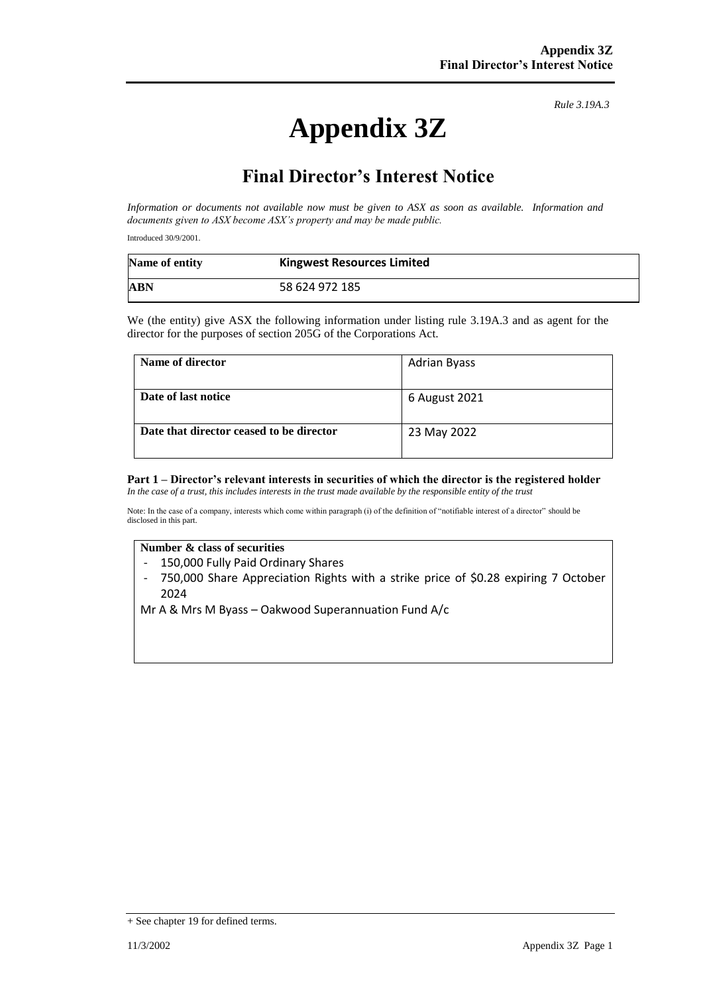# **Appendix 3Z**

*Rule 3.19A.3*

# **Final Director's Interest Notice**

*Information or documents not available now must be given to ASX as soon as available. Information and documents given to ASX become ASX's property and may be made public.*

Introduced 30/9/2001.

| Name of entity | <b>Kingwest Resources Limited</b> |
|----------------|-----------------------------------|
| ABN            | 58 624 972 185                    |

We (the entity) give ASX the following information under listing rule 3.19A.3 and as agent for the director for the purposes of section 205G of the Corporations Act.

| Name of director                         | <b>Adrian Byass</b> |
|------------------------------------------|---------------------|
| Date of last notice                      | 6 August 2021       |
| Date that director ceased to be director | 23 May 2022         |

## **Part 1 – Director's relevant interests in securities of which the director is the registered holder**

*In the case of a trust, this includes interests in the trust made available by the responsible entity of the trust*

Note: In the case of a company, interests which come within paragraph (i) of the definition of "notifiable interest of a director" should be disclosed in this part.

#### **Number & class of securities**

- 150,000 Fully Paid Ordinary Shares
- 750,000 Share Appreciation Rights with a strike price of \$0.28 expiring 7 October 2024

Mr A & Mrs M Byass – Oakwood Superannuation Fund A/c

<sup>+</sup> See chapter 19 for defined terms.